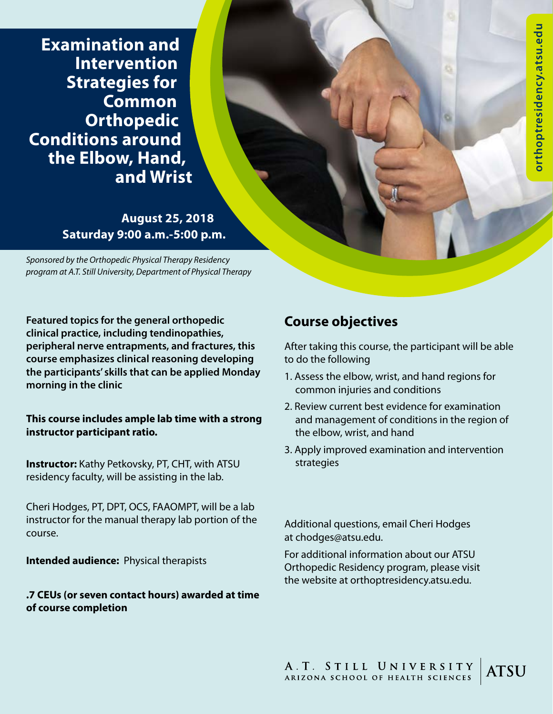**Examination and Intervention Strategies for Common Orthopedic Conditions around the Elbow, Hand, and Wrist**

> **August 25, 2018 Saturday 9:00 a.m.-5:00 p.m.**

*Sponsored by the Orthopedic Physical Therapy Residency program at A.T. Still University, Department of Physical Therapy*

**Featured topics for the general orthopedic clinical practice, including tendinopathies, peripheral nerve entrapments, and fractures, this course emphasizes clinical reasoning developing the participants' skills that can be applied Monday morning in the clinic** 

**This course includes ample lab time with a strong instructor participant ratio.** 

**Instructor:** Kathy Petkovsky, PT, CHT, with ATSU residency faculty, will be assisting in the lab.

Cheri Hodges, PT, DPT, OCS, FAAOMPT, will be a lab instructor for the manual therapy lab portion of the course.

**Intended audience:** Physical therapists

### **.7 CEUs (or seven contact hours) awarded at time of course completion**

# **Course objectives**

After taking this course, the participant will be able to do the following

- 1. Assess the elbow, wrist, and hand regions for common injuries and conditions
- 2. Review current best evidence for examination and management of conditions in the region of the elbow, wrist, and hand
- 3. Apply improved examination and intervention strategies

Additional questions, email Cheri Hodges at chodges@atsu.edu.

For additional information about our ATSU Orthopedic Residency program, please visit the website at orthoptresidency.atsu.edu.

A.T. STILL UNIVERSITY<br>ARIZONA SCHOOL OF HEALTH SCIENCES **ATSU**